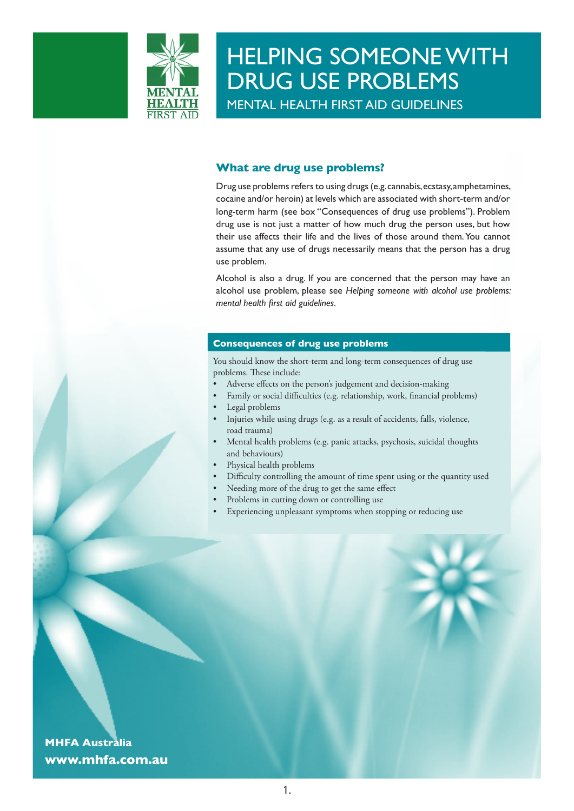

# **What are drug use problems?**

Drug use problems refers to using drugs (e.g. cannabis, ecstasy, amphetamines, cocaine and/or heroin) at levels which are associated with short-term and/or long-term harm (see box "Consequences of drug use problems"). Problem drug use is not just a matter of how much drug the person uses, but how their use affects their life and the lives of those around them. You cannot assume that any use of drugs necessarily means that the person has a drug use problem.

Alcohol is also a drug. If you are concerned that the person may have an alcohol use problem, please see *Helping someone with alcohol use problems: mental health first aid guidelines*.

### **Consequences of drug use problems**

You should know the short-term and long-term consequences of drug use problems. These include:

- Adverse effects on the person's judgement and decision-making
- Family or social difficulties (e.g. relationship, work, financial problems) Legal problems
- Injuries while using drugs (e.g. as a result of accidents, falls, violence, road trauma)
- Mental health problems (e.g. panic attacks, psychosis, suicidal thoughts and behaviours)
- Physical health problems
- Difficulty controlling the amount of time spent using or the quantity used
- Needing more of the drug to get the same effect
- Problems in cutting down or controlling use
- Experiencing unpleasant symptoms when stopping or reducing use

**MHFA Australia www.mhfa.com.au**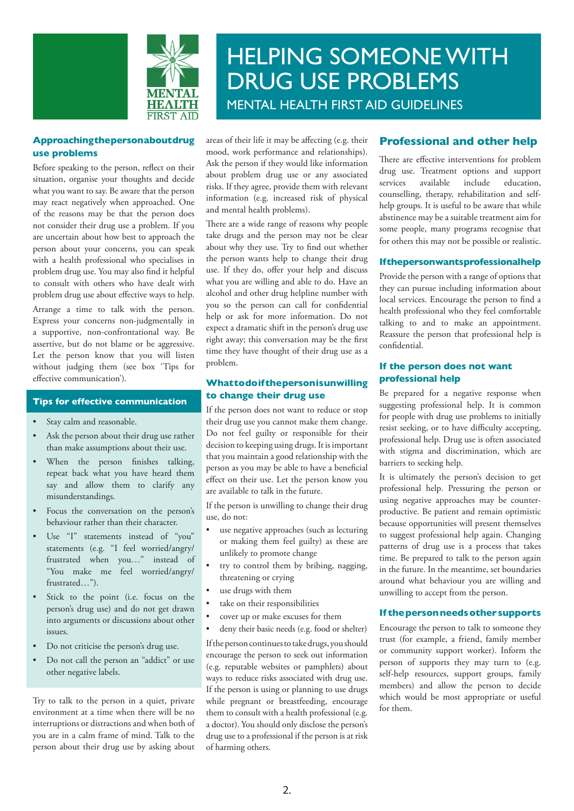



### **Approaching the person about drug use problems**

Before speaking to the person, reflect on their situation, organise your thoughts and decide what you want to say. Be aware that the person may react negatively when approached. One of the reasons may be that the person does not consider their drug use a problem. If you are uncertain about how best to approach the person about your concerns, you can speak with a health professional who specialises in problem drug use. You may also find it helpful to consult with others who have dealt with problem drug use about effective ways to help.

Arrange a time to talk with the person. Express your concerns non-judgmentally in a supportive, non-confrontational way. Be assertive, but do not blame or be aggressive. Let the person know that you will listen without judging them (see box 'Tips for effective communication').

## **Tips for effective communication**

- Stay calm and reasonable.
- Ask the person about their drug use rather than make assumptions about their use.
- When the person finishes talking, repeat back what you have heard them say and allow them to clarify any misunderstandings.
- Focus the conversation on the person's behaviour rather than their character.
- Use "I" statements instead of "you" statements (e.g. "I feel worried/angry/ frustrated when you…" instead of "You make me feel worried/angry/ frustrated…").
- Stick to the point (i.e. focus on the person's drug use) and do not get drawn into arguments or discussions about other issues.
- Do not criticise the person's drug use.
- Do not call the person an "addict" or use other negative labels.

Try to talk to the person in a quiet, private environment at a time when there will be no interruptions or distractions and when both of you are in a calm frame of mind. Talk to the person about their drug use by asking about

areas of their life it may be affecting (e.g. their mood, work performance and relationships). Ask the person if they would like information about problem drug use or any associated risks. If they agree, provide them with relevant information (e.g. increased risk of physical and mental health problems).

There are a wide range of reasons why people take drugs and the person may not be clear about why they use. Try to find out whether the person wants help to change their drug use. If they do, offer your help and discuss what you are willing and able to do. Have an alcohol and other drug helpline number with you so the person can call for confidential help or ask for more information. Do not expect a dramatic shift in the person's drug use right away; this conversation may be the first time they have thought of their drug use as a problem.

### **What to do if the person is unwilling to change their drug use**

If the person does not want to reduce or stop their drug use you cannot make them change. Do not feel guilty or responsible for their decision to keeping using drugs. It is important that you maintain a good relationship with the person as you may be able to have a beneficial effect on their use. Let the person know you are available to talk in the future.

If the person is unwilling to change their drug use, do not:

- use negative approaches (such as lecturing or making them feel guilty) as these are unlikely to promote change
- try to control them by bribing, nagging, threatening or crying
- use drugs with them
- take on their responsibilities
- cover up or make excuses for them
- deny their basic needs (e.g. food or shelter)

If the person continues to take drugs, you should encourage the person to seek out information (e.g. reputable websites or pamphlets) about ways to reduce risks associated with drug use. If the person is using or planning to use drugs while pregnant or breastfeeding, encourage them to consult with a health professional (e.g. a doctor). You should only disclose the person's drug use to a professional if the person is at risk of harming others.

# **Professional and other help**

There are effective interventions for problem drug use. Treatment options and support services available include education, counselling, therapy, rehabilitation and selfhelp groups. It is useful to be aware that while abstinence may be a suitable treatment aim for some people, many programs recognise that for others this may not be possible or realistic.

#### **If the person wants professional help**

Provide the person with a range of options that they can pursue including information about local services. Encourage the person to find a health professional who they feel comfortable talking to and to make an appointment. Reassure the person that professional help is confidential.

## **If the person does not want professional help**

Be prepared for a negative response when suggesting professional help. It is common for people with drug use problems to initially resist seeking, or to have difficulty accepting, professional help. Drug use is often associated with stigma and discrimination, which are barriers to seeking help.

It is ultimately the person's decision to get professional help. Pressuring the person or using negative approaches may be counterproductive. Be patient and remain optimistic because opportunities will present themselves to suggest professional help again. Changing patterns of drug use is a process that takes time. Be prepared to talk to the person again in the future. In the meantime, set boundaries around what behaviour you are willing and unwilling to accept from the person.

#### **If the person needs other supports**

Encourage the person to talk to someone they trust (for example, a friend, family member or community support worker). Inform the person of supports they may turn to (e.g. self-help resources, support groups, family members) and allow the person to decide which would be most appropriate or useful for them.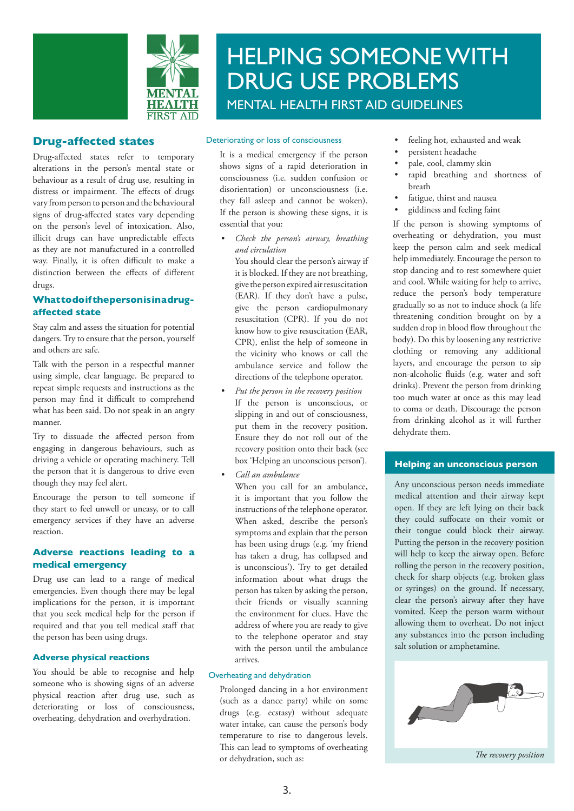

# **Drug-affected states**

Drug-affected states refer to temporary alterations in the person's mental state or behaviour as a result of drug use, resulting in distress or impairment. The effects of drugs vary from person to person and the behavioural signs of drug-affected states vary depending on the person's level of intoxication. Also, illicit drugs can have unpredictable effects as they are not manufactured in a controlled way. Finally, it is often difficult to make a distinction between the effects of different drugs.

# **What to do if the person is in a drugaffected state**

Stay calm and assess the situation for potential dangers. Try to ensure that the person, yourself and others are safe.

Talk with the person in a respectful manner using simple, clear language. Be prepared to repeat simple requests and instructions as the person may find it difficult to comprehend what has been said. Do not speak in an angry manner.

Try to dissuade the affected person from engaging in dangerous behaviours, such as driving a vehicle or operating machinery. Tell the person that it is dangerous to drive even though they may feel alert.

Encourage the person to tell someone if they start to feel unwell or uneasy, or to call emergency services if they have an adverse reaction.

## **Adverse reactions leading to a medical emergency**

Drug use can lead to a range of medical emergencies. Even though there may be legal implications for the person, it is important that you seek medical help for the person if required and that you tell medical staff that the person has been using drugs.

### **Adverse physical reactions**

You should be able to recognise and help someone who is showing signs of an adverse physical reaction after drug use, such as deteriorating or loss of consciousness, overheating, dehydration and overhydration.

#### Deteriorating or loss of consciousness

It is a medical emergency if the person shows signs of a rapid deterioration in consciousness (i.e. sudden confusion or disorientation) or unconsciousness (i.e. they fall asleep and cannot be woken). If the person is showing these signs, it is essential that you:

- *Check the person's airway, breathing and circulation*
- You should clear the person's airway if it is blocked. If they are not breathing, give the person expired air resuscitation (EAR). If they don't have a pulse, give the person cardiopulmonary resuscitation (CPR). If you do not know how to give resuscitation (EAR, CPR), enlist the help of someone in the vicinity who knows or call the ambulance service and follow the directions of the telephone operator.
- *Put the person in the recovery position* If the person is unconscious, or slipping in and out of consciousness, put them in the recovery position. Ensure they do not roll out of the recovery position onto their back (see box 'Helping an unconscious person').
- *Call an ambulance*

When you call for an ambulance, it is important that you follow the instructions of the telephone operator. When asked, describe the person's symptoms and explain that the person has been using drugs (e.g. 'my friend has taken a drug, has collapsed and is unconscious'). Try to get detailed information about what drugs the person has taken by asking the person, their friends or visually scanning the environment for clues. Have the address of where you are ready to give to the telephone operator and stay with the person until the ambulance arrives.

### Overheating and dehydration

Prolonged dancing in a hot environment (such as a dance party) while on some drugs (e.g. ecstasy) without adequate water intake, can cause the person's body temperature to rise to dangerous levels. This can lead to symptoms of overheating or dehydration, such as:

- feeling hot, exhausted and weak
- persistent headache
- pale, cool, clammy skin
- rapid breathing and shortness of breath
- fatigue, thirst and nausea
- giddiness and feeling faint

If the person is showing symptoms of overheating or dehydration, you must keep the person calm and seek medical help immediately. Encourage the person to stop dancing and to rest somewhere quiet and cool. While waiting for help to arrive, reduce the person's body temperature gradually so as not to induce shock (a life threatening condition brought on by a sudden drop in blood flow throughout the body). Do this by loosening any restrictive clothing or removing any additional layers, and encourage the person to sip non-alcoholic fluids (e.g. water and soft drinks). Prevent the person from drinking too much water at once as this may lead to coma or death. Discourage the person from drinking alcohol as it will further dehydrate them.

### **Helping an unconscious person**

Any unconscious person needs immediate medical attention and their airway kept open. If they are left lying on their back they could suffocate on their vomit or their tongue could block their airway. Putting the person in the recovery position will help to keep the airway open. Before rolling the person in the recovery position, check for sharp objects (e.g. broken glass or syringes) on the ground. If necessary, clear the person's airway after they have vomited. Keep the person warm without allowing them to overheat. Do not inject any substances into the person including salt solution or amphetamine.